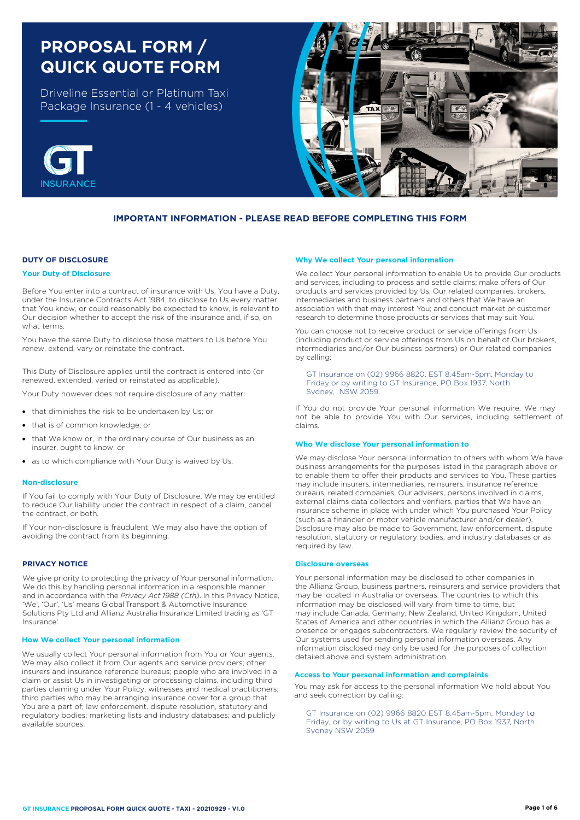# **PROPOSAL FORM / QUICK QUOTE FORM**

Driveline Essential or Platinum Taxi Package Insurance (1 - 4 vehicles)





## **IMPORTANT INFORMATION - PLEASE READ BEFORE COMPLETING THIS FORM**

## **DUTY OF DISCLOSURE**

#### **Your Duty of Disclosure**

Before You enter into a contract of insurance with Us, You have a Duty, under the Insurance Contracts Act 1984, to disclose to Us every matter that You know, or could reasonably be expected to know, is relevant to Our decision whether to accept the risk of the insurance and, if so, on what terms.

You have the same Duty to disclose those matters to Us before You renew, extend, vary or reinstate the contract.

This Duty of Disclosure applies until the contract is entered into (or renewed, extended, varied or reinstated as applicable).

Your Duty however does not require disclosure of any matter:

- that diminishes the risk to be undertaken by Us; or
- that is of common knowledge; or
- that We know or, in the ordinary course of Our business as an insurer, ought to know; or
- as to which compliance with Your Duty is waived by Us.

#### **Non-disclosure**

If You fail to comply with Your Duty of Disclosure, We may be entitled to reduce Our liability under the contract in respect of a claim, cancel the contract, or both.

If Your non-disclosure is fraudulent, We may also have the option of avoiding the contract from its beginning.

#### **PRIVACY NOTICE**

We give priority to protecting the privacy of Your personal information. We do this by handling personal information in a responsible manner and in accordance with the *Privacy Act 1988 (Cth)*. In this Privacy Notice, 'We', 'Our', 'Us' means Global Transport & Automotive Insurance Solutions Pty Ltd and Allianz Australia Insurance Limited trading as 'GT Insurance'.

#### **How We collect Your personal information**

We usually collect Your personal information from You or Your agents. We may also collect it from Our agents and service providers; other insurers and insurance reference bureaus; people who are involved in a claim or assist Us in investigating or processing claims, including third parties claiming under Your Policy, witnesses and medical practitioners; third parties who may be arranging insurance cover for a group that You are a part of; law enforcement, dispute resolution, statutory and regulatory bodies; marketing lists and industry databases; and publicly available sources.

#### **Why We collect Your personal information**

We collect Your personal information to enable Us to provide Our products and services, including to process and settle claims; make offers of Our products and services provided by Us, Our related companies, brokers, intermediaries and business partners and others that We have an association with that may interest You; and conduct market or customer research to determine those products or services that may suit You.

You can choose not to receive product or service offerings from Us (including product or service offerings from Us on behalf of Our brokers, intermediaries and/or Our business partners) or Our related companies by calling:

GT Insurance on (02) 9966 8820, EST 8.45am-5pm, Monday to Friday or by writing to GT Insurance, PO Box 1937, North Sydney, NSW 2059.

If You do not provide Your personal information We require, We may not be able to provide You with Our services, including settlement of claims.

#### **Who We disclose Your personal information to**

We may disclose Your personal information to others with whom We have business arrangements for the purposes listed in the paragraph above or to enable them to offer their products and services to You. These parties may include insurers, intermediaries, reinsurers, insurance reference bureaus, related companies, Our advisers, persons involved in claims, external claims data collectors and verifiers, parties that We have an insurance scheme in place with under which You purchased Your Policy (such as a financier or motor vehicle manufacturer and/or dealer). Disclosure may also be made to Government, law enforcement, dispute resolution, statutory or regulatory bodies, and industry databases or as required by law.

#### **Disclosure overseas**

Your personal information may be disclosed to other companies in the Allianz Group, business partners, reinsurers and service providers that may be located in Australia or overseas. The countries to which this information may be disclosed will vary from time to time, but may include Canada, Germany, New Zealand, United Kingdom, United States of America and other countries in which the Allianz Group has a presence or engages subcontractors. We regularly review the security of Our systems used for sending personal information overseas. Any information disclosed may only be used for the purposes of collection detailed above and system administration.

## **Access to Your personal information and complaints**

You may ask for access to the personal information We hold about You and seek correction by calling:

GT Insurance on (02) 9966 8820 EST 8.45am-5pm, Monday to Friday, or by writing to Us at GT Insurance, PO Box 1937, North Sydney NSW 2059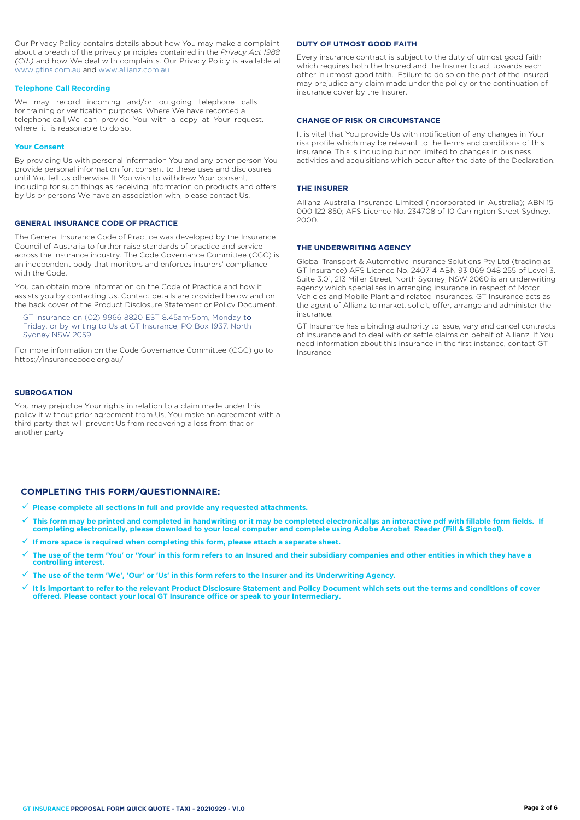Our Privacy Policy contains details about how You may make a complaint about a breach of the privacy principles contained in the *Privacy Act 1988 (Cth)* and how We deal with complaints. Our Privacy Policy is available at [www.gtins.com.au](https://www.gtins.com.au/documents-and-policies/) and [www.allianz.com.au](https://www.allianz.com.au/about-us/privacy/)

#### **Telephone Call Recording**

We may record incoming and/or outgoing telephone calls for training or verification purposes. Where We have recorded a telephone call,We can provide You with a copy at Your request, where it is reasonable to do so.

#### **Your Consent**

By providing Us with personal information You and any other person You provide personal information for, consent to these uses and disclosures until You tell Us otherwise. If You wish to withdraw Your consent, including for such things as receiving information on products and offers by Us or persons We have an association with, please contact Us.

### **GENERAL INSURANCE CODE OF PRACTICE**

The General Insurance Code of Practice was developed by the Insurance Council of Australia to further raise standards of practice and service across the insurance industry. The Code Governance Committee (CGC) is an independent body that monitors and enforces insurers' compliance with the Code.

You can obtain more information on the Code of Practice and how it assists you by contacting Us. Contact details are provided below and on the back cover of the Product Disclosure Statement or Policy Document.

, Friday, or by writing to Us at GT Insurance, PO Box 1937, North GT Insurance on (02) 9966 8820 EST 8.45am-5pm, Monday to Sydney NSW 2059

For more information on the Code Governance Committee (CGC) go to <https://insurancecode.org.au/>

### **SUBROGATION**

You may prejudice Your rights in relation to a claim made under this policy if without prior agreement from Us, You make an agreement with a third party that will prevent Us from recovering a loss from that or another party.

#### **DUTY OF UTMOST GOOD FAITH**

Every insurance contract is subject to the duty of utmost good faith which requires both the Insured and the Insurer to act towards each other in utmost good faith. Failure to do so on the part of the Insured may prejudice any claim made under the policy or the continuation of insurance cover by the Insurer.

#### **CHANGE OF RISK OR CIRCUMSTANCE**

It is vital that You provide Us with notification of any changes in Your risk profile which may be relevant to the terms and conditions of this insurance. This is including but not limited to changes in business activities and acquisitions which occur after the date of the Declaration.

#### **THE INSURER**

Allianz Australia Insurance Limited (incorporated in Australia); ABN 15 000 122 850; AFS Licence No. 234708 of 10 Carrington Street Sydney, 2000.

#### **THE UNDERWRITING AGENCY**

Global Transport & Automotive Insurance Solutions Pty Ltd (trading as GT Insurance) AFS Licence No. 240714 ABN 93 069 048 255 of Level 3, Suite 3.01, 213 Miller Street, North Sydney, NSW 2060 is an underwriting agency which specialises in arranging insurance in respect of Motor Vehicles and Mobile Plant and related insurances. GT Insurance acts as the agent of Allianz to market, solicit, offer, arrange and administer the insurance.

GT Insurance has a binding authority to issue, vary and cancel contracts of insurance and to deal with or settle claims on behalf of Allianz. If You need information about this insurance in the first instance, contact GT Insurance.

### **COMPLETING THIS FORM/QUESTIONNAIRE:**

- **Please complete all sections in full and provide any requested attachments.**
- This form may be printed and completed in handwriting or it may be completed electronicallys an interactive pdf with fillable form fields. If **completing electronically, please download to your local computer and complete using Adobe Acrobat Reader (Fill & Sign tool).**
- **If more space is required when completing this form, please attach a separate sheet.**
- **The use of the term 'You' or 'Your' in this form refers to an Insured and their subsidiary companies and other entities in which they have a controlling interest.**
- **The use of the term 'We', 'Our' or 'Us' in this form refers to the Insurer and its Underwriting Agency.**
- $\checkmark$  It is important to refer to the relevant Product Disclosure Statement and Policy Document which sets out the terms and conditions of cover<br>offered. Please contact your local GT Insurance office or speak to your Inte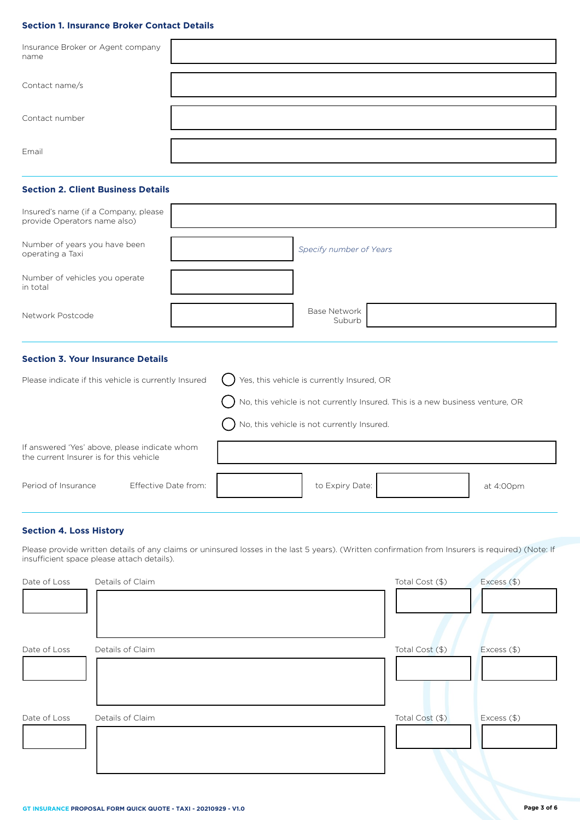## **Section 1. Insurance Broker Contact Details**

| Insurance Broker or Agent company<br>name |  |
|-------------------------------------------|--|
| Contact name/s                            |  |
| Contact number                            |  |
| Email                                     |  |

## **Section 2. Client Business Details**

| Insured's name (if a Company, please<br>provide Operators name also) |                               |
|----------------------------------------------------------------------|-------------------------------|
| Number of years you have been<br>operating a Taxi                    | Specify number of Years       |
| Number of vehicles you operate<br>in total                           |                               |
| Network Postcode                                                     | <b>Base Network</b><br>Suburb |

## **Section 3. Your Insurance Details**

| Please indicate if this vehicle is currently Insured                                     |                      | Yes, this vehicle is currently Insured, OR                                      |                                              |  |           |  |  |
|------------------------------------------------------------------------------------------|----------------------|---------------------------------------------------------------------------------|----------------------------------------------|--|-----------|--|--|
|                                                                                          |                      | ) No, this vehicle is not currently Insured. This is a new business venture, OR |                                              |  |           |  |  |
|                                                                                          |                      |                                                                                 | ) No, this vehicle is not currently Insured. |  |           |  |  |
| If answered 'Yes' above, please indicate whom<br>the current Insurer is for this vehicle |                      |                                                                                 |                                              |  |           |  |  |
| Period of Insurance                                                                      | Effective Date from: |                                                                                 | to Expiry Date:                              |  | at 4:00pm |  |  |

## **Section 4. Loss History**

Please provide written details of any claims or uninsured losses in the last 5 years). (Written confrmation from Insurers is required) (Note: If insufficient space please attach details).

| Details of Claim | Total Cost (\$) | Excess (\$)   |
|------------------|-----------------|---------------|
|                  |                 |               |
|                  |                 |               |
| Details of Claim | Total Cost (\$) | Excess $(\$)$ |
|                  |                 |               |
|                  |                 |               |
| Details of Claim | Total Cost (\$) | Excess (\$)   |
|                  |                 |               |
|                  |                 |               |
|                  |                 |               |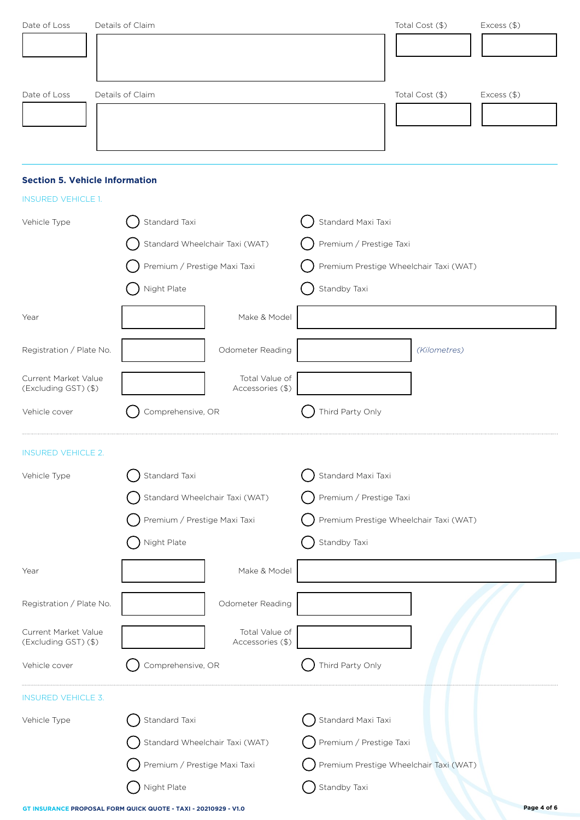| Date of Loss<br>Details of Claim<br>Total Cost (\$)<br>Excess (\$)<br><b>Section 5. Vehicle Information</b><br><b>INSURED VEHICLE 1.</b><br>Standard Taxi<br>Standard Maxi Taxi<br>Vehicle Type<br>Premium / Prestige Taxi<br>Standard Wheelchair Taxi (WAT) |                         |  |  |  |
|--------------------------------------------------------------------------------------------------------------------------------------------------------------------------------------------------------------------------------------------------------------|-------------------------|--|--|--|
|                                                                                                                                                                                                                                                              |                         |  |  |  |
|                                                                                                                                                                                                                                                              |                         |  |  |  |
|                                                                                                                                                                                                                                                              |                         |  |  |  |
|                                                                                                                                                                                                                                                              |                         |  |  |  |
|                                                                                                                                                                                                                                                              |                         |  |  |  |
|                                                                                                                                                                                                                                                              |                         |  |  |  |
|                                                                                                                                                                                                                                                              |                         |  |  |  |
|                                                                                                                                                                                                                                                              |                         |  |  |  |
|                                                                                                                                                                                                                                                              |                         |  |  |  |
|                                                                                                                                                                                                                                                              |                         |  |  |  |
| Premium / Prestige Maxi Taxi<br>Premium Prestige Wheelchair Taxi (WAT)                                                                                                                                                                                       |                         |  |  |  |
| Night Plate<br>Standby Taxi                                                                                                                                                                                                                                  |                         |  |  |  |
| Make & Model<br>Year                                                                                                                                                                                                                                         |                         |  |  |  |
| Registration / Plate No.<br>Odometer Reading<br>(Kilometres)                                                                                                                                                                                                 |                         |  |  |  |
| Total Value of<br>Current Market Value                                                                                                                                                                                                                       |                         |  |  |  |
| Accessories (\$)<br>(Excluding GST) (\$)                                                                                                                                                                                                                     |                         |  |  |  |
| Third Party Only<br>Comprehensive, OR<br>Vehicle cover                                                                                                                                                                                                       |                         |  |  |  |
| <b>INSURED VEHICLE 2.</b>                                                                                                                                                                                                                                    |                         |  |  |  |
| Standard Taxi<br>Standard Maxi Taxi<br>Vehicle Type                                                                                                                                                                                                          |                         |  |  |  |
| Standard Wheelchair Taxi (WAT)<br>Premium / Prestige Taxi                                                                                                                                                                                                    |                         |  |  |  |
| Premium / Prestige Maxi Taxi<br>Premium Prestige Wheelchair Taxi (WAT)                                                                                                                                                                                       |                         |  |  |  |
| Night Plate<br>Standby Taxi                                                                                                                                                                                                                                  |                         |  |  |  |
| Make & Model<br>Year                                                                                                                                                                                                                                         |                         |  |  |  |
| Registration / Plate No.<br>Odometer Reading                                                                                                                                                                                                                 |                         |  |  |  |
| Total Value of<br>Current Market Value                                                                                                                                                                                                                       |                         |  |  |  |
| Accessories (\$)<br>(Excluding GST) (\$)                                                                                                                                                                                                                     |                         |  |  |  |
| Comprehensive, OR<br>Third Party Only<br>Vehicle cover                                                                                                                                                                                                       |                         |  |  |  |
| <b>INSURED VEHICLE 3.</b>                                                                                                                                                                                                                                    |                         |  |  |  |
| Standard Maxi Taxi<br>Standard Taxi<br>Vehicle Type                                                                                                                                                                                                          |                         |  |  |  |
|                                                                                                                                                                                                                                                              | Premium / Prestige Taxi |  |  |  |
| Standard Wheelchair Taxi (WAT)                                                                                                                                                                                                                               |                         |  |  |  |
| Premium / Prestige Maxi Taxi<br>Premium Prestige Wheelchair Taxi (WAT)                                                                                                                                                                                       |                         |  |  |  |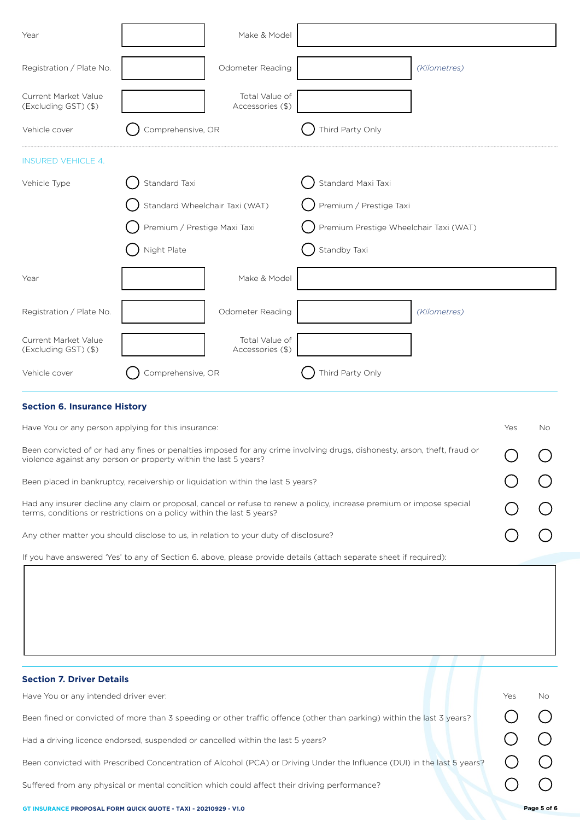| Year                                                                                                               |                                | Make & Model                       |                                                                                                                           |              |     |     |
|--------------------------------------------------------------------------------------------------------------------|--------------------------------|------------------------------------|---------------------------------------------------------------------------------------------------------------------------|--------------|-----|-----|
| Registration / Plate No.                                                                                           |                                | Odometer Reading                   |                                                                                                                           | (Kilometres) |     |     |
| Current Market Value<br>(Excluding GST) (\$)                                                                       |                                | Total Value of<br>Accessories (\$) |                                                                                                                           |              |     |     |
| Vehicle cover                                                                                                      | Comprehensive, OR              |                                    | Third Party Only                                                                                                          |              |     |     |
| <b>INSURED VEHICLE 4.</b>                                                                                          |                                |                                    |                                                                                                                           |              |     |     |
| Vehicle Type                                                                                                       | Standard Taxi                  |                                    | Standard Maxi Taxi                                                                                                        |              |     |     |
|                                                                                                                    | Standard Wheelchair Taxi (WAT) |                                    | Premium / Prestige Taxi                                                                                                   |              |     |     |
|                                                                                                                    | Premium / Prestige Maxi Taxi   |                                    | Premium Prestige Wheelchair Taxi (WAT)                                                                                    |              |     |     |
|                                                                                                                    | Night Plate                    |                                    | Standby Taxi                                                                                                              |              |     |     |
| Year                                                                                                               |                                | Make & Model                       |                                                                                                                           |              |     |     |
| Registration / Plate No.                                                                                           |                                | Odometer Reading                   |                                                                                                                           | (Kilometres) |     |     |
| Current Market Value<br>(Excluding GST) (\$)                                                                       |                                | Total Value of<br>Accessories (\$) |                                                                                                                           |              |     |     |
| Vehicle cover                                                                                                      | Comprehensive, OR              |                                    | Third Party Only                                                                                                          |              |     |     |
| <b>Section 6. Insurance History</b>                                                                                |                                |                                    |                                                                                                                           |              |     |     |
| Have You or any person applying for this insurance:                                                                |                                |                                    |                                                                                                                           |              | Yes | No. |
| violence against any person or property within the last 5 years?                                                   |                                |                                    | Been convicted of or had any fines or penalties imposed for any crime involving drugs, dishonesty, arson, theft, fraud or |              |     |     |
| Been placed in bankruptcy, receivership or liquidation within the last 5 years?                                    |                                |                                    |                                                                                                                           |              |     |     |
| terms, conditions or restrictions on a policy within the last 5 years?                                             |                                |                                    | Had any insurer decline any claim or proposal, cancel or refuse to renew a policy, increase premium or impose special     |              |     |     |
| Any other matter you should disclose to us, in relation to your duty of disclosure?                                |                                |                                    |                                                                                                                           |              |     |     |
| If you have answered 'Yes' to any of Section 6. above, please provide details (attach separate sheet if required): |                                |                                    |                                                                                                                           |              |     |     |
|                                                                                                                    |                                |                                    |                                                                                                                           |              |     |     |
|                                                                                                                    |                                |                                    |                                                                                                                           |              |     |     |
|                                                                                                                    |                                |                                    |                                                                                                                           |              |     |     |
|                                                                                                                    |                                |                                    |                                                                                                                           |              |     |     |
| <b>Section 7. Driver Details</b>                                                                                   |                                |                                    |                                                                                                                           |              |     |     |
| Have You or any intended driver ever:                                                                              |                                |                                    |                                                                                                                           |              | Yes | No. |
|                                                                                                                    |                                |                                    | Been fined or convicted of more than 3 speeding or other traffic offence (other than parking) within the last 3 years?    |              |     |     |

Had a driving licence endorsed, suspended or cancelled within the last 5 years?

Been convicted with Prescribed Concentration of Alcohol (PCA) or Driving Under the Influence (DUI) in the last 5 years?

Suffered from any physical or mental condition which could affect their driving performance?

 $\begin{bmatrix} 0 & 0 \\ 0 & 0 \\ 0 & 0 \end{bmatrix}$